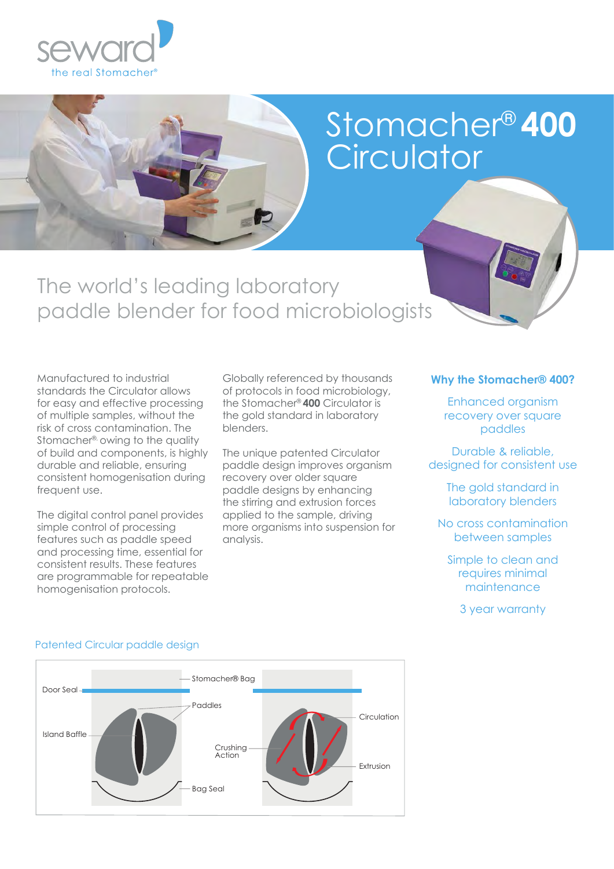

# Stomacher® **400 Circulator**

The world's leading laboratory paddle blender for food microbiologists

Manufactured to industrial standards the Circulator allows for easy and effective processing of multiple samples, without the risk of cross contamination. The Stomacher®, owing to the quality of build and components, is highly durable and reliable, ensuring consistent homogenisation during frequent use.

The digital control panel provides simple control of processing features such as paddle speed and processing time, essential for consistent results. These features are programmable for repeatable homogenisation protocols.

Globally referenced by thousands of protocols in food microbiology, the Stomacher® **400** Circulator is the gold standard in laboratory blenders.

The unique patented Circulator paddle design improves organism recovery over older square paddle designs by enhancing the stirring and extrusion forces applied to the sample, driving more organisms into suspension for analysis.

#### **Why the Stomacher® 400?**

Enhanced organism recovery over square paddles

Durable & reliable, designed for consistent use

> The gold standard in laboratory blenders

No cross contamination between samples

Simple to clean and requires minimal maintenance

3 year warranty



#### Patented Circular paddle design